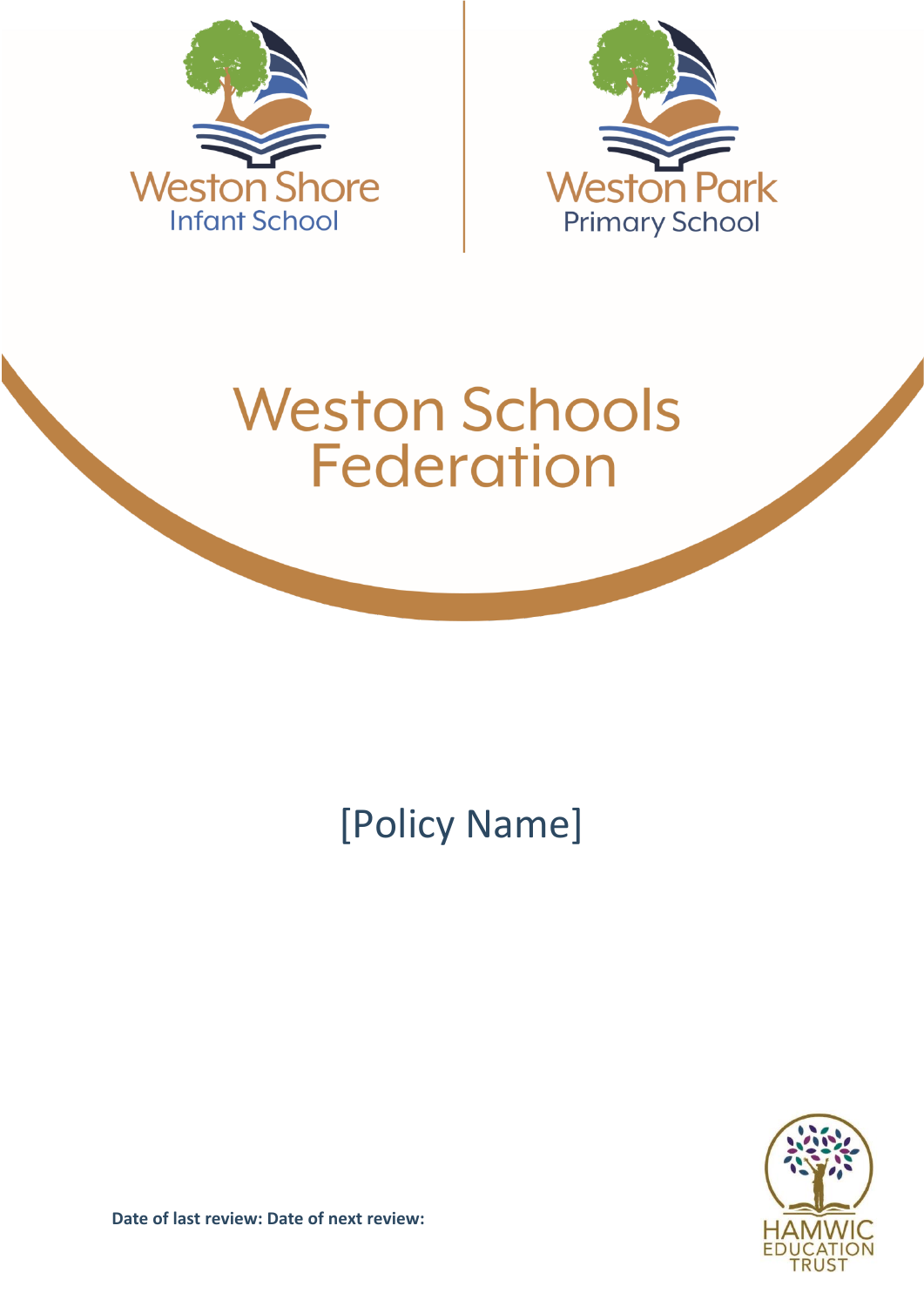



# **Weston Schools Federation**

## [Policy Name]



**Date of last review: Date of next review:**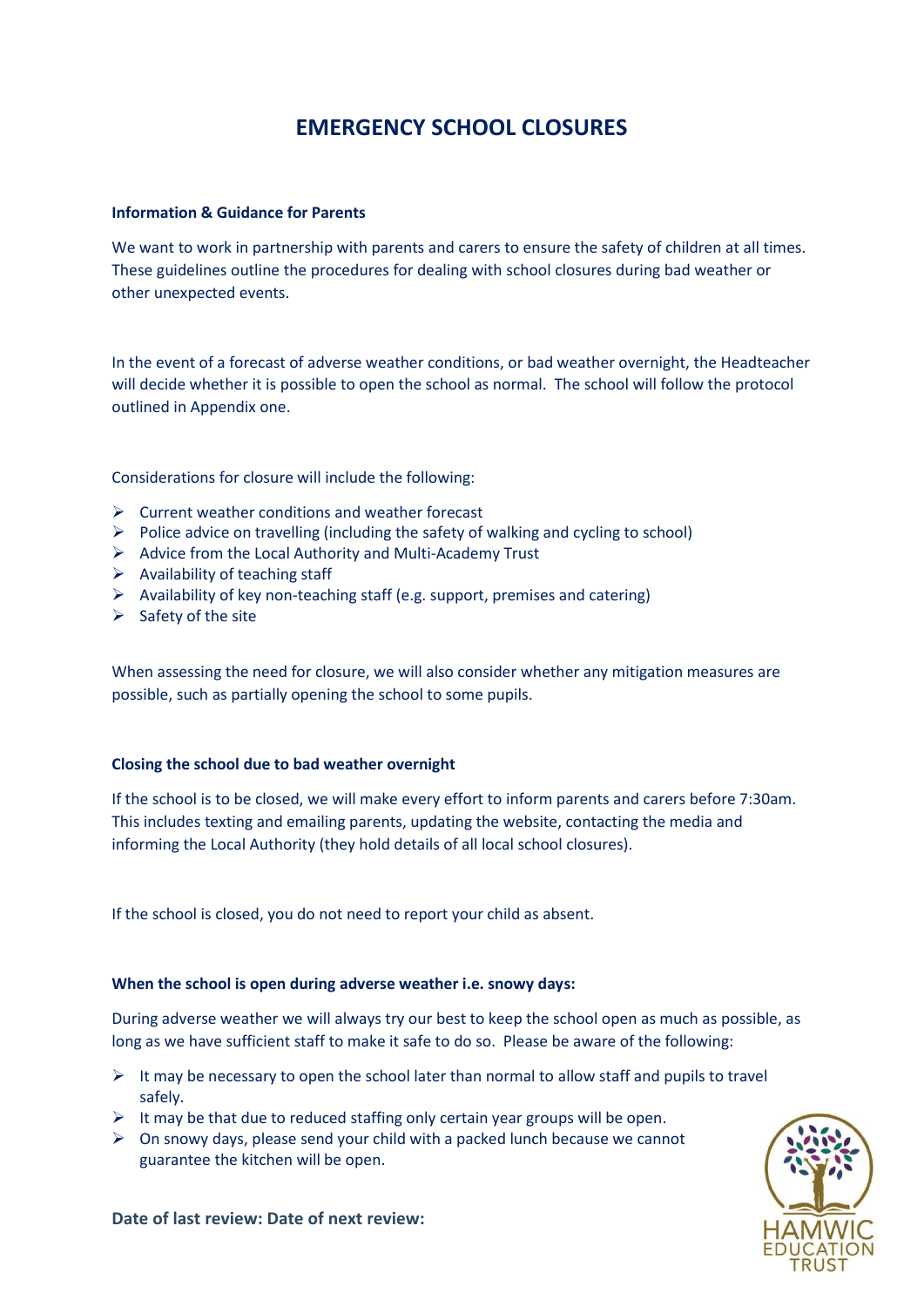## **EMERGENCY SCHOOL CLOSURES**

#### **Information & Guidance for Parents**

We want to work in partnership with parents and carers to ensure the safety of children at all times. These guidelines outline the procedures for dealing with school closures during bad weather or other unexpected events.

In the event of a forecast of adverse weather conditions, or bad weather overnight, the Headteacher will decide whether it is possible to open the school as normal. The school will follow the protocol outlined in Appendix one.

Considerations for closure will include the following:

- $\triangleright$  Current weather conditions and weather forecast
- $\triangleright$  Police advice on travelling (including the safety of walking and cycling to school)
- $\triangleright$  Advice from the Local Authority and Multi-Academy Trust
- $\triangleright$  Availability of teaching staff
- $\triangleright$  Availability of key non-teaching staff (e.g. support, premises and catering)
- $\triangleright$  Safety of the site

When assessing the need for closure, we will also consider whether any mitigation measures are possible, such as partially opening the school to some pupils.

#### **Closing the school due to bad weather overnight**

If the school is to be closed, we will make every effort to inform parents and carers before 7:30am. This includes texting and emailing parents, updating the website, contacting the media and informing the Local Authority (they hold details of all local school closures).

If the school is closed, you do not need to report your child as absent.

#### **When the school is open during adverse weather i.e. snowy days:**

During adverse weather we will always try our best to keep the school open as much as possible, as long as we have sufficient staff to make it safe to do so. Please be aware of the following:

- $\triangleright$  It may be necessary to open the school later than normal to allow staff and pupils to travel safely.
- $\triangleright$  It may be that due to reduced staffing only certain year groups will be open.
- $\triangleright$  On snowy days, please send your child with a packed lunch because we cannot guarantee the kitchen will be open.



**Date of last review: Date of next review:**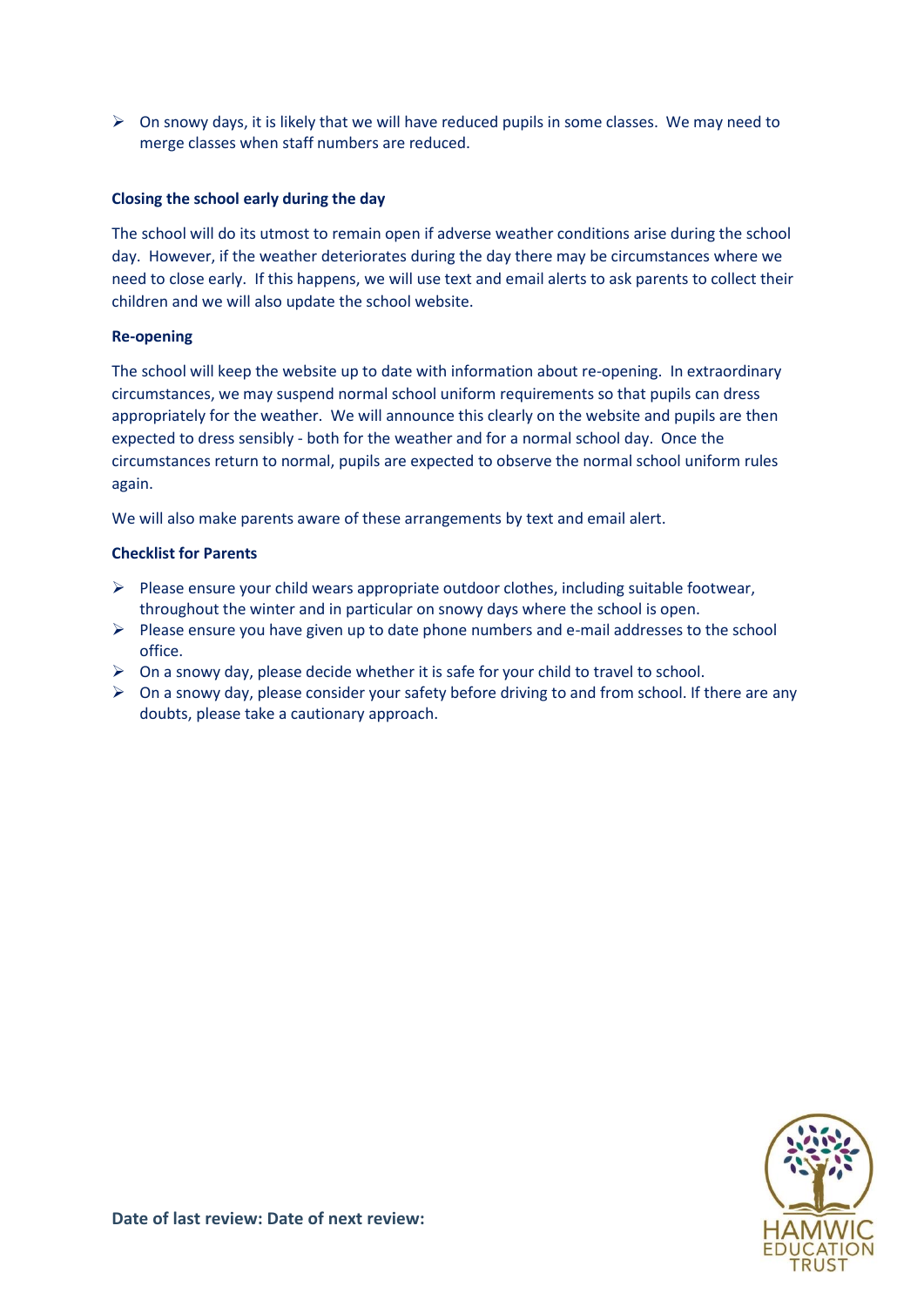$\triangleright$  On snowy days, it is likely that we will have reduced pupils in some classes. We may need to merge classes when staff numbers are reduced.

#### **Closing the school early during the day**

The school will do its utmost to remain open if adverse weather conditions arise during the school day. However, if the weather deteriorates during the day there may be circumstances where we need to close early. If this happens, we will use text and email alerts to ask parents to collect their children and we will also update the school website.

#### **Re-opening**

The school will keep the website up to date with information about re-opening. In extraordinary circumstances, we may suspend normal school uniform requirements so that pupils can dress appropriately for the weather. We will announce this clearly on the website and pupils are then expected to dress sensibly - both for the weather and for a normal school day. Once the circumstances return to normal, pupils are expected to observe the normal school uniform rules again.

We will also make parents aware of these arrangements by text and email alert.

#### **Checklist for Parents**

- $\triangleright$  Please ensure your child wears appropriate outdoor clothes, including suitable footwear, throughout the winter and in particular on snowy days where the school is open.
- $\triangleright$  Please ensure you have given up to date phone numbers and e-mail addresses to the school office.
- $\triangleright$  On a snowy day, please decide whether it is safe for your child to travel to school.
- $\triangleright$  On a snowy day, please consider your safety before driving to and from school. If there are any doubts, please take a cautionary approach.

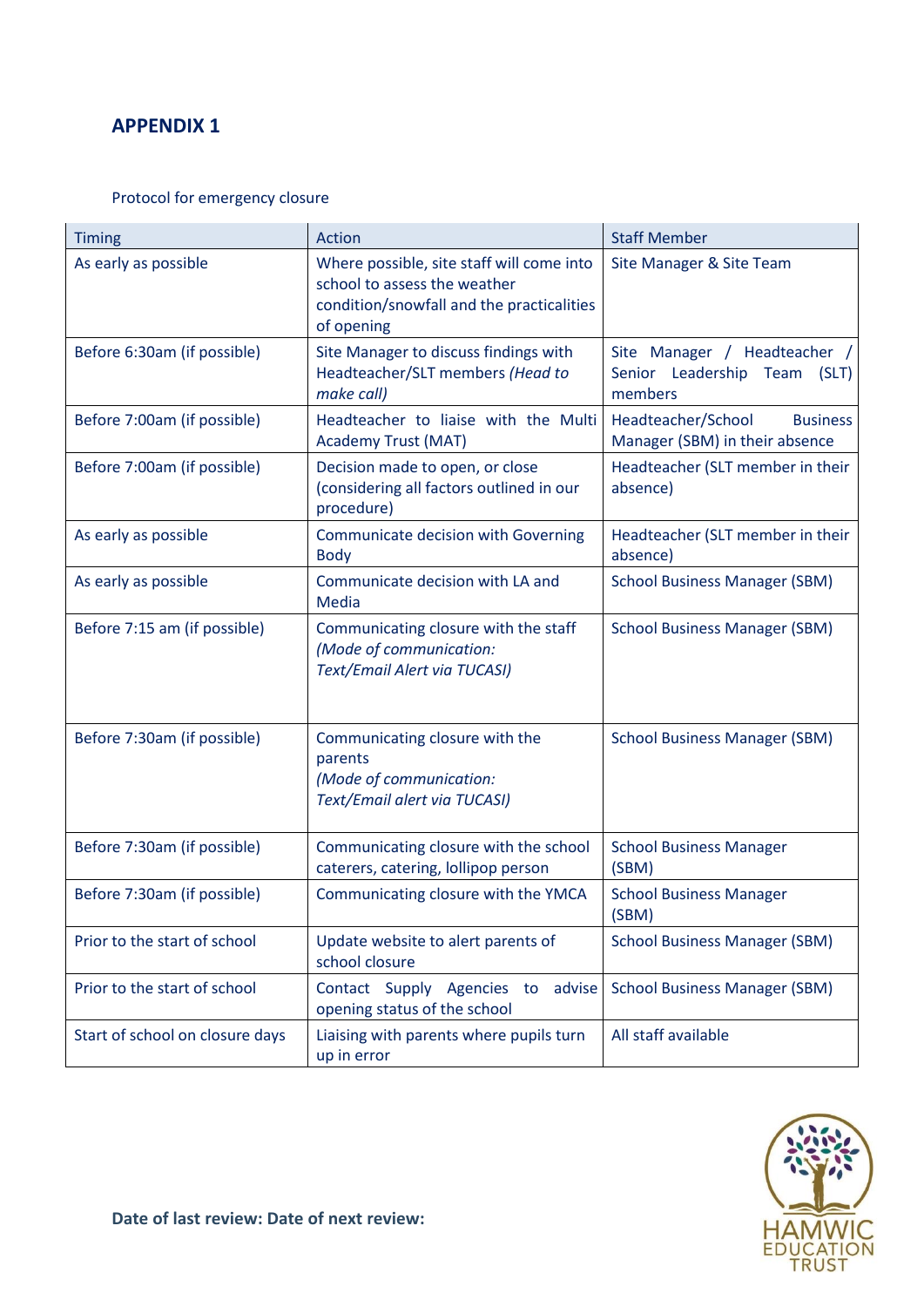### **APPENDIX 1**

#### Protocol for emergency closure

| <b>Timing</b>                   | Action                                                                                                                               | <b>Staff Member</b>                                                        |
|---------------------------------|--------------------------------------------------------------------------------------------------------------------------------------|----------------------------------------------------------------------------|
| As early as possible            | Where possible, site staff will come into<br>school to assess the weather<br>condition/snowfall and the practicalities<br>of opening | Site Manager & Site Team                                                   |
| Before 6:30am (if possible)     | Site Manager to discuss findings with<br>Headteacher/SLT members (Head to<br>make call)                                              | Site Manager / Headteacher /<br>Senior Leadership Team<br>(SLT)<br>members |
| Before 7:00am (if possible)     | Headteacher to liaise with the Multi<br><b>Academy Trust (MAT)</b>                                                                   | Headteacher/School<br><b>Business</b><br>Manager (SBM) in their absence    |
| Before 7:00am (if possible)     | Decision made to open, or close<br>(considering all factors outlined in our<br>procedure)                                            | Headteacher (SLT member in their<br>absence)                               |
| As early as possible            | <b>Communicate decision with Governing</b><br><b>Body</b>                                                                            | Headteacher (SLT member in their<br>absence)                               |
| As early as possible            | Communicate decision with LA and<br>Media                                                                                            | <b>School Business Manager (SBM)</b>                                       |
| Before 7:15 am (if possible)    | Communicating closure with the staff<br>(Mode of communication:<br>Text/Email Alert via TUCASI)                                      | <b>School Business Manager (SBM)</b>                                       |
| Before 7:30am (if possible)     | Communicating closure with the<br>parents<br>(Mode of communication:<br>Text/Email alert via TUCASI)                                 | <b>School Business Manager (SBM)</b>                                       |
| Before 7:30am (if possible)     | Communicating closure with the school<br>caterers, catering, lollipop person                                                         | <b>School Business Manager</b><br>(SBM)                                    |
| Before 7:30am (if possible)     | Communicating closure with the YMCA                                                                                                  | <b>School Business Manager</b><br>(SBM)                                    |
| Prior to the start of school    | Update website to alert parents of<br>school closure                                                                                 | <b>School Business Manager (SBM)</b>                                       |
| Prior to the start of school    | Contact Supply Agencies to advise<br>opening status of the school                                                                    | <b>School Business Manager (SBM)</b>                                       |
| Start of school on closure days | Liaising with parents where pupils turn<br>up in error                                                                               | All staff available                                                        |